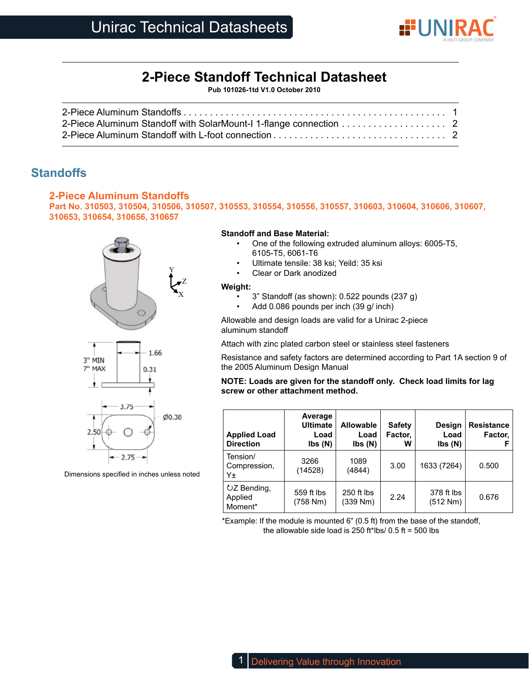

# **2-Piece Standoff Technical Datasheet**

**Pub 101026-1td V1.0 October 2010**

| 2-Piece Aluminum Standoff with SolarMount-I 1-flange connection 2 |  |
|-------------------------------------------------------------------|--|
|                                                                   |  |

## **Standoffs**

## **2-Piece Aluminum Standoffs**

**Part No. 310503, 310504, 310506, 310507, 310553, 310554, 310556, 310557, 310603, 310604, 310606, 310607, 310653, 310654, 310656, 310657**





Dimensions specified in inches unless noted

2.75

## **Standoff and Base Material:**

- One of the following extruded aluminum alloys: 6005-T5, 6105-T5, 6061-T6
- Ultimate tensile: 38 ksi; Yeild: 35 ksi
- Clear or Dark anodized

#### **Weight:**

- 3" Standoff (as shown): 0.522 pounds (237 g)
- Add 0.086 pounds per inch (39 g/ inch)

Allowable and design loads are valid for a Unirac 2-piece aluminum standoff

Attach with zinc plated carbon steel or stainless steel fasteners

Resistance and safety factors are determined according to Part 1A section 9 of the 2005 Aluminum Design Manual

## **NOTE: Loads are given for the standoff only. Check load limits for lag screw or other attachment method.**

| <b>Applied Load</b><br><b>Direction</b> | Average<br><b>Ultimate</b><br>Load<br>$\mathsf{lbs}(\mathsf{N})$ | <b>Allowable</b><br>Load<br>$\mathsf{lbs}(\mathsf{N})$ | <b>Safety</b><br>Factor,<br>w | Design<br>Load<br>$\mathsf{lbs}(\mathsf{N})$ | <b>Resistance</b><br>Factor, |
|-----------------------------------------|------------------------------------------------------------------|--------------------------------------------------------|-------------------------------|----------------------------------------------|------------------------------|
| Tension/<br>Compression,<br>Υ±          | 3266<br>(14528)                                                  | 1089<br>(4844)                                         | 3.00                          | 1633 (7264)                                  | 0.500                        |
| UZ Bending,<br>Applied<br>Moment*       | 559 ft lbs<br>(758 Nm)                                           | 250 ft lbs<br>(339 Nm)                                 | 2.24                          | 378 ft lbs<br>(512 Nm)                       | 0.676                        |

\*Example: If the module is mounted 6" (0.5 ft) from the base of the standoff, the allowable side load is 250 ft\*lbs/  $0.5$  ft = 500 lbs